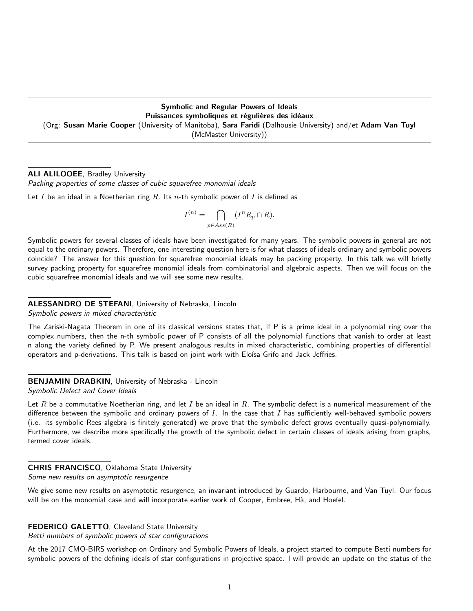# Symbolic and Regular Powers of Ideals Puissances symboliques et régulières des idéaux (Org: Susan Marie Cooper (University of Manitoba), Sara Faridi (Dalhousie University) and/et Adam Van Tuyl (McMaster University))

# ALI ALILOOEE, Bradley University

Packing properties of some classes of cubic squarefree monomial ideals

Let I be an ideal in a Noetherian ring  $R$ . Its n-th symbolic power of I is defined as

$$
I^{(n)} = \bigcap_{p \in Ass(R)} (I^n R_p \cap R).
$$

Symbolic powers for several classes of ideals have been investigated for many years. The symbolic powers in general are not equal to the ordinary powers. Therefore, one interesting question here is for what classes of ideals ordinary and symbolic powers coincide? The answer for this question for squarefree monomial ideals may be packing property. In this talk we will briefly survey packing property for squarefree monomial ideals from combinatorial and algebraic aspects. Then we will focus on the cubic squarefree monomial ideals and we will see some new results.

# ALESSANDRO DE STEFANI, University of Nebraska, Lincoln

Symbolic powers in mixed characteristic

The Zariski-Nagata Theorem in one of its classical versions states that, if P is a prime ideal in a polynomial ring over the complex numbers, then the n-th symbolic power of P consists of all the polynomial functions that vanish to order at least n along the variety defined by P. We present analogous results in mixed characteristic, combining properties of differential operators and p-derivations. This talk is based on joint work with Eloísa Grifo and Jack Jeffries.

BENJAMIN DRABKIN, University of Nebraska - Lincoln Symbolic Defect and Cover Ideals

Let R be a commutative Noetherian ring, and let I be an ideal in R. The symbolic defect is a numerical measurement of the difference between the symbolic and ordinary powers of  $I$ . In the case that  $I$  has sufficiently well-behaved symbolic powers (i.e. its symbolic Rees algebra is finitely generated) we prove that the symbolic defect grows eventually quasi-polynomially. Furthermore, we describe more specifically the growth of the symbolic defect in certain classes of ideals arising from graphs, termed cover ideals.

# CHRIS FRANCISCO, Oklahoma State University

Some new results on asymptotic resurgence

We give some new results on asymptotic resurgence, an invariant introduced by Guardo, Harbourne, and Van Tuyl. Our focus will be on the monomial case and will incorporate earlier work of Cooper, Embree, Hà, and Hoefel.

# FEDERICO GALETTO, Cleveland State University

Betti numbers of symbolic powers of star configurations

At the 2017 CMO-BIRS workshop on Ordinary and Symbolic Powers of Ideals, a project started to compute Betti numbers for symbolic powers of the defining ideals of star configurations in projective space. I will provide an update on the status of the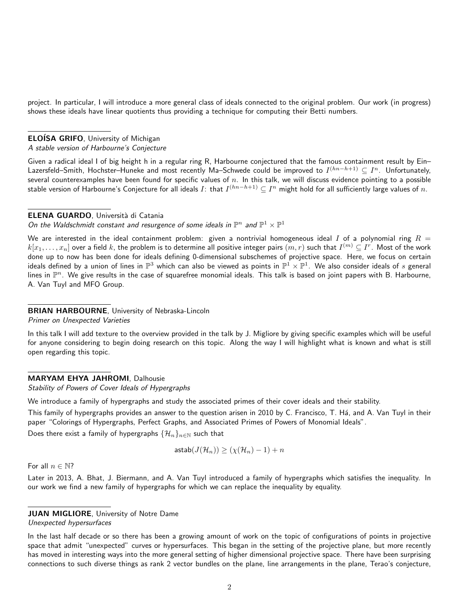project. In particular, I will introduce a more general class of ideals connected to the original problem. Our work (in progress) shows these ideals have linear quotients thus providing a technique for computing their Betti numbers.

## **ELOÍSA GRIFO, University of Michigan**

#### A stable version of Harbourne's Conjecture

Given a radical ideal I of big height h in a regular ring R, Harbourne conjectured that the famous containment result by Ein– Lazersfeld–Smith, Hochster–Huneke and most recently Ma–Schwede could be improved to  $I^{(hn-h+1)}\subseteq I^n.$  Unfortunately, several counterexamples have been found for specific values of  $n$ . In this talk, we will discuss evidence pointing to a possible stable version of Harbourne's Conjecture for all ideals  $I$ : that  $I^{(hn-h+1)}\subseteq I^n$  might hold for all sufficiently large values of  $n.$ 

### ELENA GUARDO, Università di Catania

# On the Waldschmidt constant and resurgence of some ideals in  $\mathbb{P}^n$  and  $\mathbb{P}^1 \times \mathbb{P}^1$

We are interested in the ideal containment problem: given a nontrivial homogeneous ideal I of a polynomial ring  $R =$  $k[x_1,\ldots,x_n]$  over a field  $k$ , the problem is to determine all positive integer pairs  $(m,r)$  such that  $I^{(m)}\subseteq I^r.$  Most of the work done up to now has been done for ideals defining 0-dimensional subschemes of projective space. Here, we focus on certain ideals defined by a union of lines in  $\mathbb{P}^3$  which can also be viewed as points in  $\mathbb{P}^1\times\mathbb{P}^1.$  We also consider ideals of  $s$  general lines in  $\mathbb{P}^n$ . We give results in the case of squarefree monomial ideals. This talk is based on joint papers with B. Harbourne, A. Van Tuyl and MFO Group.

#### BRIAN HARBOURNE, University of Nebraska-Lincoln

Primer on Unexpected Varieties

In this talk I will add texture to the overview provided in the talk by J. Migliore by giving specific examples which will be useful for anyone considering to begin doing research on this topic. Along the way I will highlight what is known and what is still open regarding this topic.

#### MARYAM EHYA JAHROMI, Dalhousie

Stability of Powers of Cover Ideals of Hypergraphs

We introduce a family of hypergraphs and study the associated primes of their cover ideals and their stability.

This family of hypergraphs provides an answer to the question arisen in 2010 by C. Francisco, T. Há, and A. Van Tuyl in their paper "Colorings of Hypergraphs, Perfect Graphs, and Associated Primes of Powers of Monomial Ideals".

Does there exist a family of hypergraphs  $\{\mathcal{H}_n\}_{n\in\mathbb{N}}$  such that

$$
\mathsf{astab}(J(\mathcal{H}_n)) \ge (\chi(\mathcal{H}_n) - 1) + n
$$

For all  $n \in \mathbb{N}$ ?

Later in 2013, A. Bhat, J. Biermann, and A. Van Tuyl introduced a family of hypergraphs which satisfies the inequality. In our work we find a new family of hypergraphs for which we can replace the inequality by equality.

## **JUAN MIGLIORE, University of Notre Dame**

Unexpected hypersurfaces

In the last half decade or so there has been a growing amount of work on the topic of configurations of points in projective space that admit "unexpected" curves or hypersurfaces. This began in the setting of the projective plane, but more recently has moved in interesting ways into the more general setting of higher dimensional projective space. There have been surprising connections to such diverse things as rank 2 vector bundles on the plane, line arrangements in the plane, Terao's conjecture,